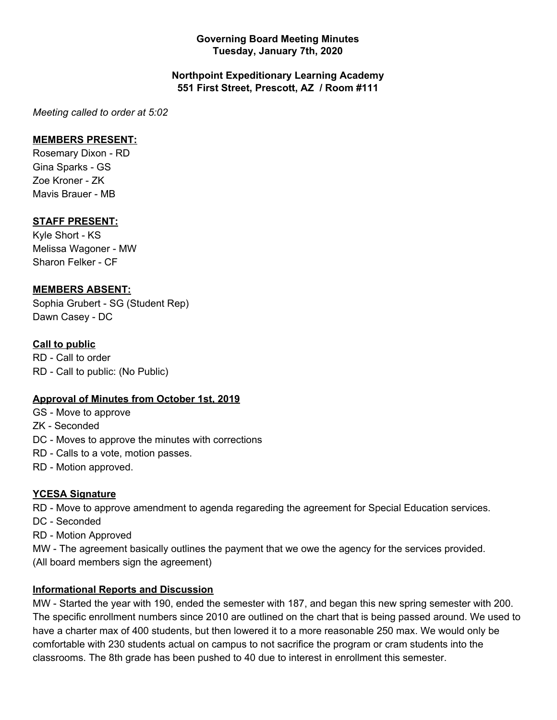## **Governing Board Meeting Minutes Tuesday, January 7th, 2020**

## **Northpoint Expeditionary Learning Academy 551 First Street, Prescott, AZ / Room #111**

*Meeting called to order at 5:02*

## **MEMBERS PRESENT:**

Rosemary Dixon - RD Gina Sparks - GS Zoe Kroner - ZK Mavis Brauer - MB

## **STAFF PRESENT:**

Kyle Short - KS Melissa Wagoner - MW Sharon Felker - CF

## **MEMBERS ABSENT:**

Sophia Grubert - SG (Student Rep) Dawn Casey - DC

## **Call to public**

RD - Call to order RD - Call to public: (No Public)

### **Approval of Minutes from October 1st, 2019**

GS - Move to approve

ZK - Seconded

- DC Moves to approve the minutes with corrections
- RD Calls to a vote, motion passes.
- RD Motion approved.

### **YCESA Signature**

RD - Move to approve amendment to agenda regareding the agreement for Special Education services.

- DC Seconded
- RD Motion Approved

MW - The agreement basically outlines the payment that we owe the agency for the services provided. (All board members sign the agreement)

### **Informational Reports and Discussion**

MW - Started the year with 190, ended the semester with 187, and began this new spring semester with 200. The specific enrollment numbers since 2010 are outlined on the chart that is being passed around. We used to have a charter max of 400 students, but then lowered it to a more reasonable 250 max. We would only be comfortable with 230 students actual on campus to not sacrifice the program or cram students into the classrooms. The 8th grade has been pushed to 40 due to interest in enrollment this semester.